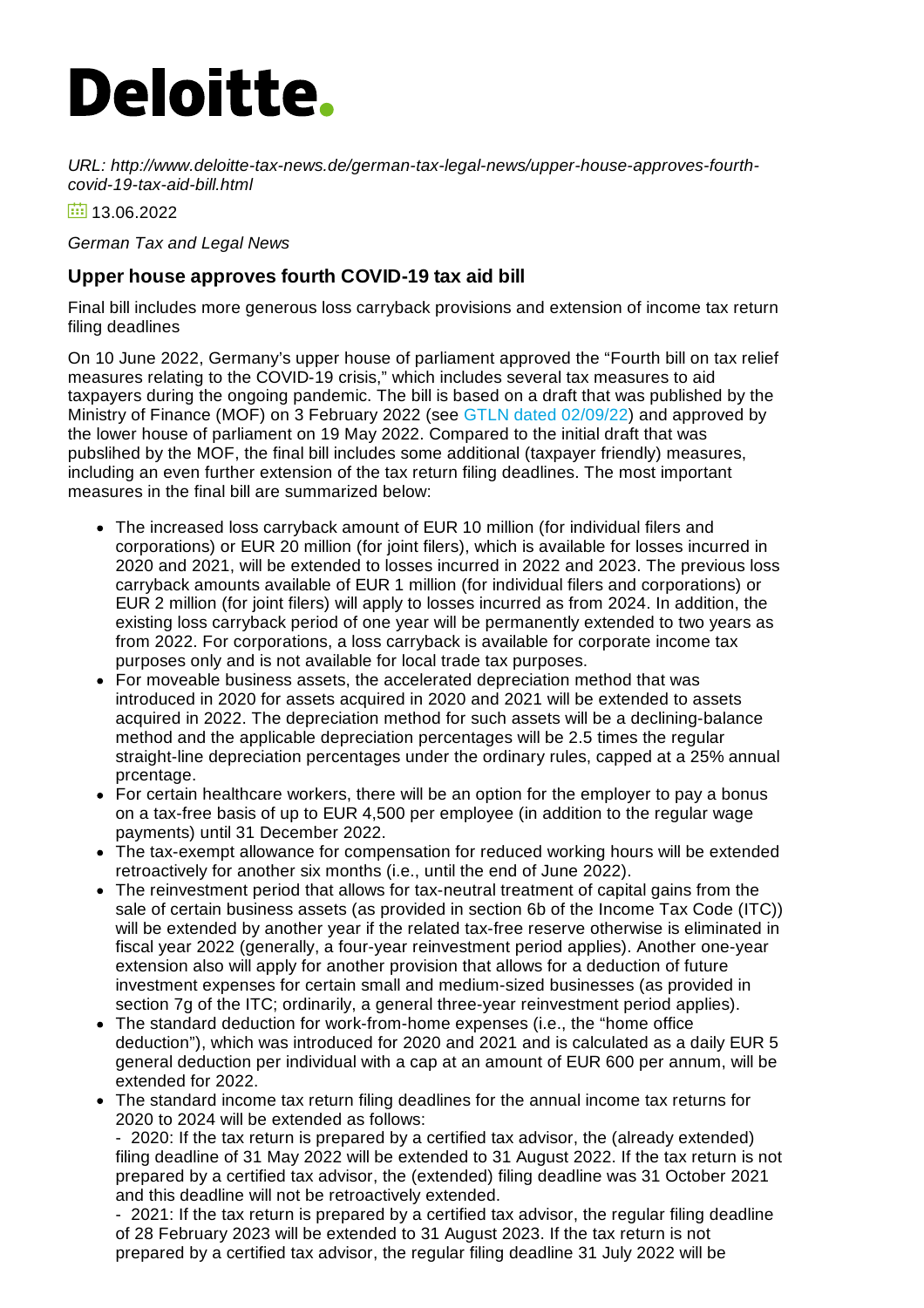## **Deloitte.**

*URL: http://www.deloitte-tax-news.de/german-tax-legal-news/upper-house-approves-fourthcovid-19-tax-aid-bill.html*

 $\frac{1}{111}$  13.06.2022

*German Tax and Legal News*

## **Upper house approves fourth COVID-19 tax aid bill**

Final bill includes more generous loss carryback provisions and extension of income tax return filing deadlines

On 10 June 2022, Germany's upper house of parliament approved the "Fourth bill on tax relief measures relating to the COVID-19 crisis," which includes several tax measures to aid taxpayers during the ongoing pandemic. The bill is based on a draft that was published by the Ministry of Finance (MOF) on 3 February 2022 (see GTLN dated [02/09/22](https://www.deloitte-tax-news.de/german-tax-legal-news/mof-publishes-draft-of-fourth-covid-19-tax-aid-bill.html)) and approved by the lower house of parliament on 19 May 2022. Compared to the initial draft that was pubslihed by the MOF, the final bill includes some additional (taxpayer friendly) measures, including an even further extension of the tax return filing deadlines. The most important measures in the final bill are summarized below:

- The increased loss carryback amount of EUR 10 million (for individual filers and corporations) or EUR 20 million (for joint filers), which is available for losses incurred in 2020 and 2021, will be extended to losses incurred in 2022 and 2023. The previous loss carryback amounts available of EUR 1 million (for individual filers and corporations) or EUR 2 million (for joint filers) will apply to losses incurred as from 2024. In addition, the existing loss carryback period of one year will be permanently extended to two years as from 2022. For corporations, a loss carryback is available for corporate income tax purposes only and is not available for local trade tax purposes.
- For moveable business assets, the accelerated depreciation method that was introduced in 2020 for assets acquired in 2020 and 2021 will be extended to assets acquired in 2022. The depreciation method for such assets will be a declining-balance method and the applicable depreciation percentages will be 2.5 times the regular straight-line depreciation percentages under the ordinary rules, capped at a 25% annual prcentage.
- For certain healthcare workers, there will be an option for the employer to pay a bonus on a tax-free basis of up to EUR 4,500 per employee (in addition to the regular wage payments) until 31 December 2022.
- The tax-exempt allowance for compensation for reduced working hours will be extended retroactively for another six months (i.e., until the end of June 2022).
- The reinvestment period that allows for tax-neutral treatment of capital gains from the sale of certain business assets (as provided in section 6b of the Income Tax Code (ITC)) will be extended by another year if the related tax-free reserve otherwise is eliminated in fiscal year 2022 (generally, a four-year reinvestment period applies). Another one-year extension also will apply for another provision that allows for a deduction of future investment expenses for certain small and medium-sized businesses (as provided in section 7g of the ITC; ordinarily, a general three-year reinvestment period applies).
- The standard deduction for work-from-home expenses (i.e., the "home office deduction"), which was introduced for 2020 and 2021 and is calculated as a daily EUR 5 general deduction per individual with a cap at an amount of EUR 600 per annum, will be extended for 2022.
- The standard income tax return filing deadlines for the annual income tax returns for 2020 to 2024 will be extended as follows:

- 2020: If the tax return is prepared by a certified tax advisor, the (already extended) filing deadline of 31 May 2022 will be extended to 31 August 2022. If the tax return is not prepared by a certified tax advisor, the (extended) filing deadline was 31 October 2021 and this deadline will not be retroactively extended.

- 2021: If the tax return is prepared by a certified tax advisor, the regular filing deadline of 28 February 2023 will be extended to 31 August 2023. If the tax return is not prepared by a certified tax advisor, the regular filing deadline 31 July 2022 will be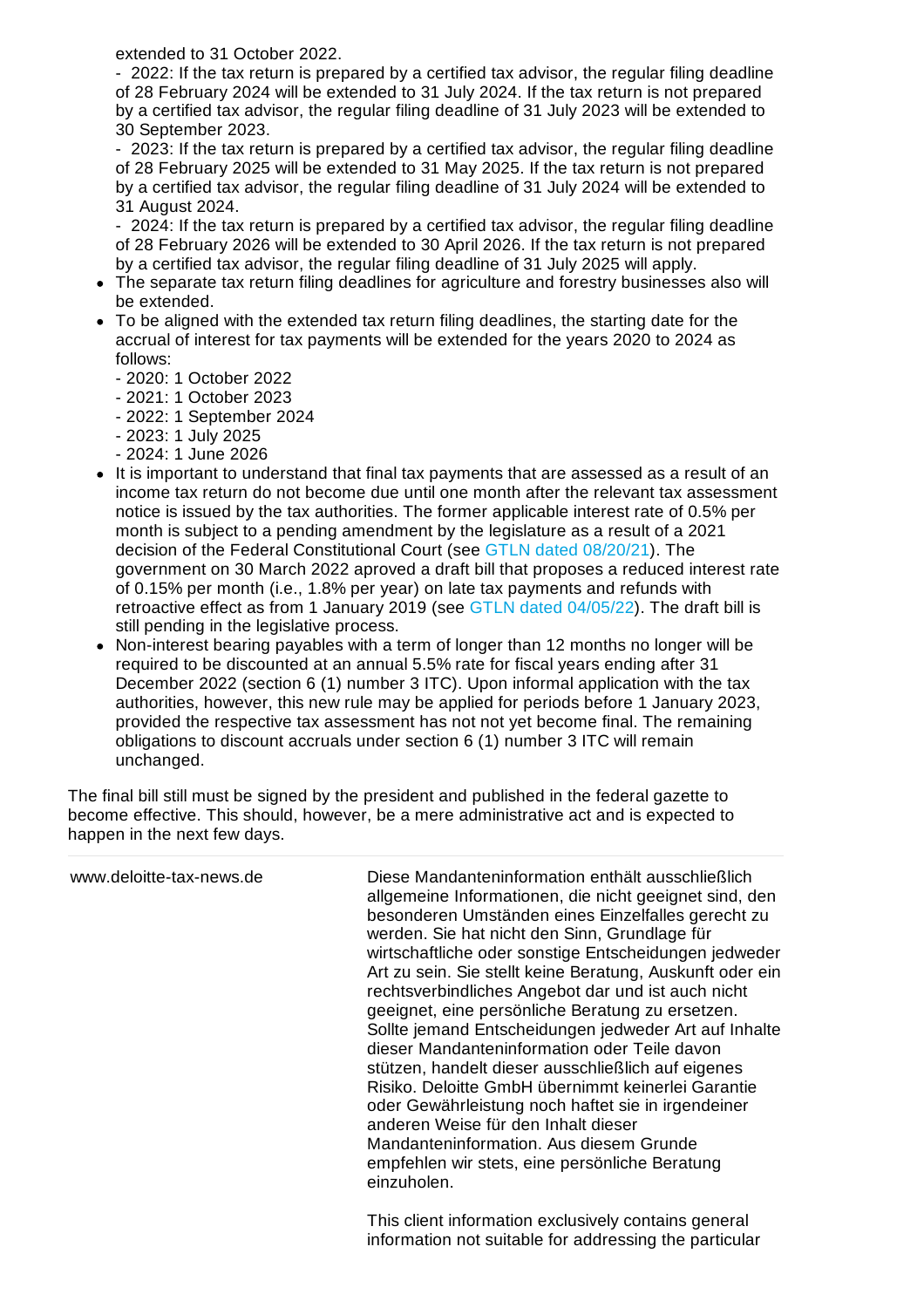extended to 31 October 2022.

- 2022: If the tax return is prepared by a certified tax advisor, the regular filing deadline of 28 February 2024 will be extended to 31 July 2024. If the tax return is not prepared by a certified tax advisor, the regular filing deadline of 31 July 2023 will be extended to 30 September 2023.

- 2023: If the tax return is prepared by a certified tax advisor, the regular filing deadline of 28 February 2025 will be extended to 31 May 2025. If the tax return is not prepared by a certified tax advisor, the regular filing deadline of 31 July 2024 will be extended to 31 August 2024.

- 2024: If the tax return is prepared by a certified tax advisor, the regular filing deadline of 28 February 2026 will be extended to 30 April 2026. If the tax return is not prepared by a certified tax advisor, the regular filing deadline of 31 July 2025 will apply.

- The separate tax return filing deadlines for agriculture and forestry businesses also will be extended.
- To be aligned with the extended tax return filing deadlines, the starting date for the accrual of interest for tax payments will be extended for the years 2020 to 2024 as follows:
	- 2020: 1 October 2022
	- 2021: 1 October 2023
	- 2022: 1 September 2024
	- 2023: 1 July 2025
	- 2024: 1 June 2026
- It is important to understand that final tax payments that are assessed as a result of an income tax return do not become due until one month after the relevant tax assessment notice is issued by the tax authorities. The former applicable interest rate of 0.5% per month is subject to a pending amendment by the legislature as a result of a 2021 decision of the Federal Constitutional Court (see GTLN dated [08/20/21](https://www.deloitte-tax-news.de/german-tax-legal-news/federal-constitutional-court-rules-interest-rate-on-tax-payments-unconstitutional.html)). The government on 30 March 2022 aproved a draft bill that proposes a reduced interest rate of 0.15% per month (i.e., 1.8% per year) on late tax payments and refunds with retroactive effect as from 1 January 2019 (see GTLN dated [04/05/22](https://www.deloitte-tax-news.de/german-tax-legal-news/federal-constitutional-court-rules-interest-rate-on-tax-payments-unconstitutional.html)). The draft bill is still pending in the legislative process.
- Non-interest bearing payables with a term of longer than 12 months no longer will be required to be discounted at an annual 5.5% rate for fiscal years ending after 31 December 2022 (section 6 (1) number 3 ITC). Upon informal application with the tax authorities, however, this new rule may be applied for periods before 1 January 2023, provided the respective tax assessment has not not yet become final. The remaining obligations to discount accruals under section 6 (1) number 3 ITC will remain unchanged.

The final bill still must be signed by the president and published in the federal gazette to become effective. This should, however, be a mere administrative act and is expected to happen in the next few days.

| www.deloitte-tax-news.de | Diese Mandanteninformation enthält ausschließlich<br>allgemeine Informationen, die nicht geeignet sind, den<br>besonderen Umständen eines Einzelfalles gerecht zu<br>werden. Sie hat nicht den Sinn, Grundlage für<br>wirtschaftliche oder sonstige Entscheidungen jedweder<br>Art zu sein. Sie stellt keine Beratung, Auskunft oder ein<br>rechtsverbindliches Angebot dar und ist auch nicht<br>geeignet, eine persönliche Beratung zu ersetzen.<br>Sollte jemand Entscheidungen jedweder Art auf Inhalte<br>dieser Mandanteninformation oder Teile davon<br>stützen, handelt dieser ausschließlich auf eigenes<br>Risiko. Deloitte GmbH übernimmt keinerlei Garantie<br>oder Gewährleistung noch haftet sie in irgendeiner<br>anderen Weise für den Inhalt dieser<br>Mandanteninformation. Aus diesem Grunde<br>empfehlen wir stets, eine persönliche Beratung<br>einzuholen. |
|--------------------------|----------------------------------------------------------------------------------------------------------------------------------------------------------------------------------------------------------------------------------------------------------------------------------------------------------------------------------------------------------------------------------------------------------------------------------------------------------------------------------------------------------------------------------------------------------------------------------------------------------------------------------------------------------------------------------------------------------------------------------------------------------------------------------------------------------------------------------------------------------------------------------|
|                          | This client information evaluation contains general                                                                                                                                                                                                                                                                                                                                                                                                                                                                                                                                                                                                                                                                                                                                                                                                                              |

This client information exclusively contains general information not suitable for addressing the particular